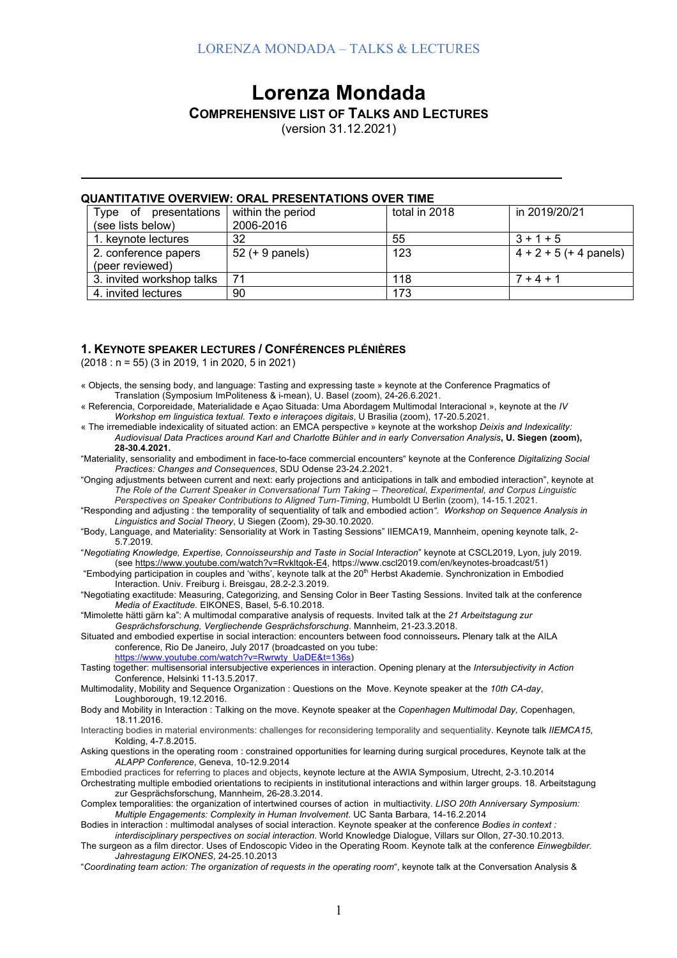# **Lorenza Mondada**

## **COMPREHENSIVE LIST OF TALKS AND LECTURES**

(version 31.12.2021)

#### **QUANTITATIVE OVERVIEW: ORAL PRESENTATIONS OVER TIME**

| presentations<br>Type of  | within the period | total in 2018 | in 2019/20/21            |
|---------------------------|-------------------|---------------|--------------------------|
| (see lists below)         | 2006-2016         |               |                          |
| 1. keynote lectures       | 32                | 55            | $3 + 1 + 5$              |
| 2. conference papers      | $52 (+ 9$ panels) | 123           | $4 + 2 + 5$ (+ 4 panels) |
| (peer reviewed)           |                   |               |                          |
| 3. invited workshop talks | 71                | 118           | $7 + 4 + 1$              |
| 4. invited lectures       | 90                | 173           |                          |

### **1. KEYNOTE SPEAKER LECTURES / CONFÉRENCES PLÉNIÈRES**

(2018 : n = 55) (3 in 2019, 1 in 2020, 5 in 2021)

- « Objects, the sensing body, and language: Tasting and expressing taste » keynote at the Conference Pragmatics of Translation (Symposium ImPoliteness & i-mean), U. Basel (zoom), 24-26.6.2021.
- « Referencia, Corporeidade, Materialidade e Açao Situada: Uma Abordagem Multimodal Interacional », keynote at the *IV Workshop em linguistica textual. Texto e interaçoes digitais*, U Brasilia (zoom), 17-20.5.2021.
- « The irremediable indexicality of situated action: an EMCA perspective » keynote at the workshop *Deixis and Indexicality: Audiovisual Data Practices around Karl and Charlotte Bühler and in early Conversation Analysis***, U. Siegen (zoom), 28-30.4.2021.**
- "Materiality, sensoriality and embodiment in face-to-face commercial encounters" keynote at the Conference *Digitalizing Social Practices: Changes and Consequences*, SDU Odense 23-24.2.2021.
- "Onging adjustments between current and next: early projections and anticipations in talk and embodied interaction", keynote at *The Role of the Current Speaker in Conversational Turn Taking – Theoretical, Experimental, and Corpus Linguistic Perspectives on Speaker Contributions to Aligned Turn-Timing*, Humboldt U Berlin (zoom), 14-15.1.2021.
- "Responding and adjusting : the temporality of sequentiality of talk and embodied action*". Workshop on Sequence Analysis in Linguistics and Social Theory*, U Siegen (Zoom), 29-30.10.2020.
- "Body, Language, and Materiality: Sensoriality at Work in Tasting Sessions" IIEMCA19, Mannheim, opening keynote talk, 2- 5.7.2019.
- "*Negotiating Knowledge, Expertise, Connoisseurship and Taste in Social Interaction*" keynote at CSCL2019, Lyon, july 2019. (see https://www.youtube.com/watch?v=Rvkltqok-E4, https://www.cscl2019.com/en/keynotes-broadcast/51)
- "Embodying participation in couples and 'withs', keynote talk at the 20th Herbst Akademie. Synchronization in Embodied Interaction. Univ. Freiburg i. Breisgau, 28.2-2.3.2019.
- "Negotiating exactitude: Measuring, Categorizing, and Sensing Color in Beer Tasting Sessions. Invited talk at the conference *Media of Exactitude.* EIKONES, Basel, 5-6.10.2018.
- "Mimolette hätti gärn ka": A multimodal comparative analysis of requests. Invited talk at the *21 Arbeitstagung zur Gesprächsforschung, Vergliechende Gesprächsforschung*. Mannheim, 21-23.3.2018.
- Situated and embodied expertise in social interaction: encounters between food connoisseurs*.* Plenary talk at the AILA conference, Rio De Janeiro, July 2017 (broadcasted on you tube:
	- https://www.youtube.com/watch?v=Rwrwty\_UaDE&t=136s)
- Tasting together: multisensorial intersubjective experiences in interaction. Opening plenary at the *Intersubjectivity in Action* Conference, Helsinki 11-13.5.2017.
- Multimodality, Mobility and Sequence Organization : Questions on the Move. Keynote speaker at the *10th CA-day*, Loughborough, 19.12.2016.
- Body and Mobility in Interaction : Talking on the move. Keynote speaker at the *Copenhagen Multimodal Day,* Copenhagen, 18.11.2016.
- Interacting bodies in material environments: challenges for reconsidering temporality and sequentiality. Keynote talk *IIEMCA15*, Kolding, 4-7.8.2015.
- Asking questions in the operating room : constrained opportunities for learning during surgical procedures, Keynote talk at the *ALAPP Conference*, Geneva, 10-12.9.2014
- Embodied practices for referring to places and objects, keynote lecture at the AWIA Symposium, Utrecht, 2-3.10.2014
- Orchestrating multiple embodied orientations to recipients in institutional interactions and within larger groups. 18. Arbeitstagung zur Gesprächsforschung, Mannheim, 26-28.3.2014.
- Complex temporalities: the organization of intertwined courses of action in multiactivity*. LISO 20th Anniversary Symposium: Multiple Engagements: Complexity in Human Involvement*. UC Santa Barbara, 14-16.2.2014
- Bodies in interaction : multimodal analyses of social interaction. Keynote speaker at the conference *Bodies in context :*
- *interdisciplinary perspectives on social interaction*. World Knowledge Dialogue, Villars sur Ollon, 27-30.10.2013. The surgeon as a film director. Uses of Endoscopic Video in the Operating Room. Keynote talk at the conference *Einwegbilder. Jahrestagung EIKONES*, 24-25.10.2013
- "*Coordinating team action: The organization of requests in the operating room*", keynote talk at the Conversation Analysis &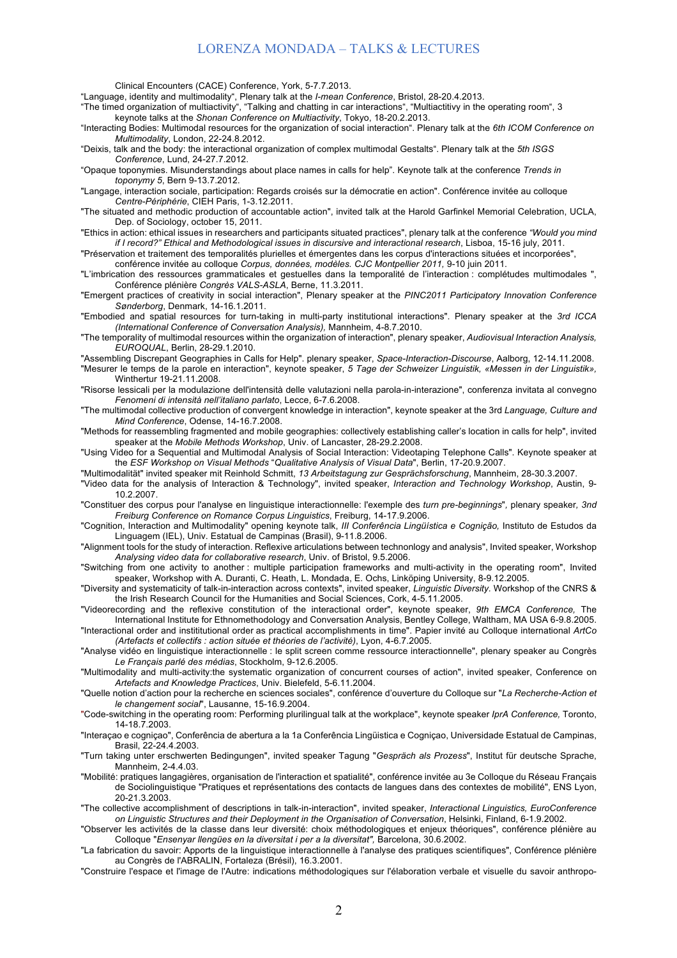Clinical Encounters (CACE) Conference, York, 5-7.7.2013.

"Language, identity and multimodality", Plenary talk at the *I-mean Conference*, Bristol, 28-20.4.2013.

"The timed organization of multiactivity", "Talking and chatting in car interactions", "Multiactitivy in the operating room", 3

keynote talks at the *Shonan Conference on Multiactivity*, Tokyo, 18-20.2.2013.

"Interacting Bodies: Multimodal resources for the organization of social interaction". Plenary talk at the *6th ICOM Conference on Multimodality*, London, 22-24.8.2012.

"Deixis, talk and the body: the interactional organization of complex multimodal Gestalts". Plenary talk at the *5th ISGS Conference*, Lund, 24-27.7.2012.

"Opaque toponymies. Misunderstandings about place names in calls for help". Keynote talk at the conference *Trends in toponymy 5*, Bern 9-13.7.2012.

"Langage, interaction sociale, participation: Regards croisés sur la démocratie en action". Conférence invitée au colloque *Centre-Périphérie*, CIEH Paris, 1-3.12.2011.

"The situated and methodic production of accountable action", invited talk at the Harold Garfinkel Memorial Celebration, UCLA, Dep. of Sociology, october 15, 2011.

"Ethics in action: ethical issues in researchers and participants situated practices", plenary talk at the conference *"Would you mind if I record?" Ethical and Methodological issues in discursive and interactional research*, Lisboa, 15-16 july, 2011.

"Préservation et traitement des temporalités plurielles et émergentes dans les corpus d'interactions situées et incorporées",

conférence invitée au colloque *Corpus, données, modèles. CJC Montpellier 2011,* 9-10 juin 2011.

"L'imbrication des ressources grammaticales et gestuelles dans la temporalité de l'interaction : complétudes multimodales ", Conférence plénière *Congrès VALS-ASLA*, Berne, 11.3.2011.

"Emergent practices of creativity in social interaction", Plenary speaker at the *PINC2011 Participatory Innovation Conference Sønderborg*, Denmark, 14-16.1.2011.

"Embodied and spatial resources for turn-taking in multi-party institutional interactions". Plenary speaker at the *3rd ICCA (International Conference of Conversation Analysis),* Mannheim, 4-8.7.2010.

"The temporality of multimodal resources within the organization of interaction", plenary speaker, *Audiovisual Interaction Analysis, EUROQUAL*, Berlin, 28-29.1.2010.

"Assembling Discrepant Geographies in Calls for Help". plenary speaker, *Space-Interaction-Discourse*, Aalborg, 12-14.11.2008. "Mesurer le temps de la parole en interaction", keynote speaker, *5 Tage der Schweizer Linguistik, «Messen in der Linguistik»,*  Winthertur 19-21.11.2008.

"Risorse lessicali per la modulazione dell'intensità delle valutazioni nella parola-in-interazione", conferenza invitata al convegno *Fenomeni di intensità nell'italiano parlato*, Lecce, 6-7.6.2008.

"The multimodal collective production of convergent knowledge in interaction", keynote speaker at the 3rd *Language, Culture and Mind Conference*, Odense, 14-16.7.2008.

"Methods for reassembling fragmented and mobile geographies: collectively establishing caller's location in calls for help", invited speaker at the *Mobile Methods Workshop*, Univ. of Lancaster, 28-29.2.2008.

"Using Video for a Sequential and Multimodal Analysis of Social Interaction: Videotaping Telephone Calls". Keynote speaker at the *ESF Workshop on Visual Methods* "*Qualitative Analysis of Visual Data*", Berlin, 17-20.9.2007.

"Multimodalität" invited speaker mit Reinhold Schmitt, *13 Arbeitstagung zur Gesprächsforschung*, Mannheim, 28-30.3.2007.

"Video data for the analysis of Interaction & Technology", invited speaker, *Interaction and Technology Workshop*, Austin, 9- 10.2.2007.

"Constituer des corpus pour l'analyse en linguistique interactionnelle: l'exemple des *turn pre-beginnings*"*,* plenary speaker*, 3nd Freiburg Conference on Romance Corpus Linguistics*, Freiburg, 14-17.9.2006.

"Cognition, Interaction and Multimodality" opening keynote talk, *III Conferência Lingüística e Cognição,* Instituto de Estudos da Linguagem (IEL), Univ. Estatual de Campinas (Brasil), 9-11.8.2006.

"Alignment tools for the study of interaction. Reflexive articulations between technonlogy and analysis", Invited speaker, Workshop *Analysing video data for collaborative research*, Univ. of Bristol, 9.5.2006.

"Switching from one activity to another : multiple participation frameworks and multi-activity in the operating room", Invited speaker, Workshop with A. Duranti, C. Heath, L. Mondada, E. Ochs, Linköping University, 8-9.12.2005.

"Diversity and systematicity of talk-in-interaction across contexts", invited speaker, *Linguistic Diversity.* Workshop of the CNRS & the Irish Research Council for the Humanities and Social Sciences, Cork, 4-5.11.2005.

"Videorecording and the reflexive constitution of the interactional order", keynote speaker, *9th EMCA Conference,* The International Institute for Ethnomethodology and Conversation Analysis, Bentley College, Waltham, MA USA 6-9.8.2005. "Interactional order and instititutional order as practical accomplishments in time". Papier invité au Colloque international *ArtCo* 

*(Artefacts et collectifs : action située et théories de l'activité)*, Lyon, 4-6.7.2005.

"Analyse vidéo en linguistique interactionnelle : le split screen comme ressource interactionnelle", plenary speaker au Congrès *Le Français parlé des médias*, Stockholm, 9-12.6.2005.

"Multimodality and multi-activity:the systematic organization of concurrent courses of action", invited speaker, Conference on *Artefacts and Knowledge Practices*, Univ. Bielefeld, 5-6.11.2004.

"Quelle notion d'action pour la recherche en sciences sociales", conférence d'ouverture du Colloque sur "*La Recherche-Action et le changement social*", Lausanne, 15-16.9.2004.

"Code-switching in the operating room: Performing plurilingual talk at the workplace", keynote speaker *IprA Conference,* Toronto, 14-18.7.2003.

"Interaçao e cogniçao", Conferência de abertura a la 1a Conferência Lingüistica e Cogniçao, Universidade Estatual de Campinas, Brasil, 22-24.4.2003.

"Turn taking unter erschwerten Bedingungen", invited speaker Tagung "*Gespräch als Prozess*", Institut für deutsche Sprache, Mannheim, 2-4.4.03.

"Mobilité: pratiques langagières, organisation de l'interaction et spatialité", conférence invitée au 3e Colloque du Réseau Français de Sociolinguistique "Pratiques et représentations des contacts de langues dans des contextes de mobilité", ENS Lyon, 20-21.3.2003.

"The collective accomplishment of descriptions in talk-in-interaction", invited speaker, *Interactional Linguistics, EuroConference on Linguistic Structures and their Deployment in the Organisation of Conversation*, Helsinki, Finland, 6-1.9.2002.

"Observer les activités de la classe dans leur diversité: choix méthodologiques et enjeux théoriques", conférence plénière au Colloque "*Ensenyar llengües en la diversitat i per a la diversitat",* Barcelona, 30.6.2002.

"La fabrication du savoir: Apports de la linguistique interactionnelle à l'analyse des pratiques scientifiques", Conférence plénière au Congrès de l'ABRALIN, Fortaleza (Brésil), 16.3.2001.

"Construire l'espace et l'image de l'Autre: indications méthodologiques sur l'élaboration verbale et visuelle du savoir anthropo-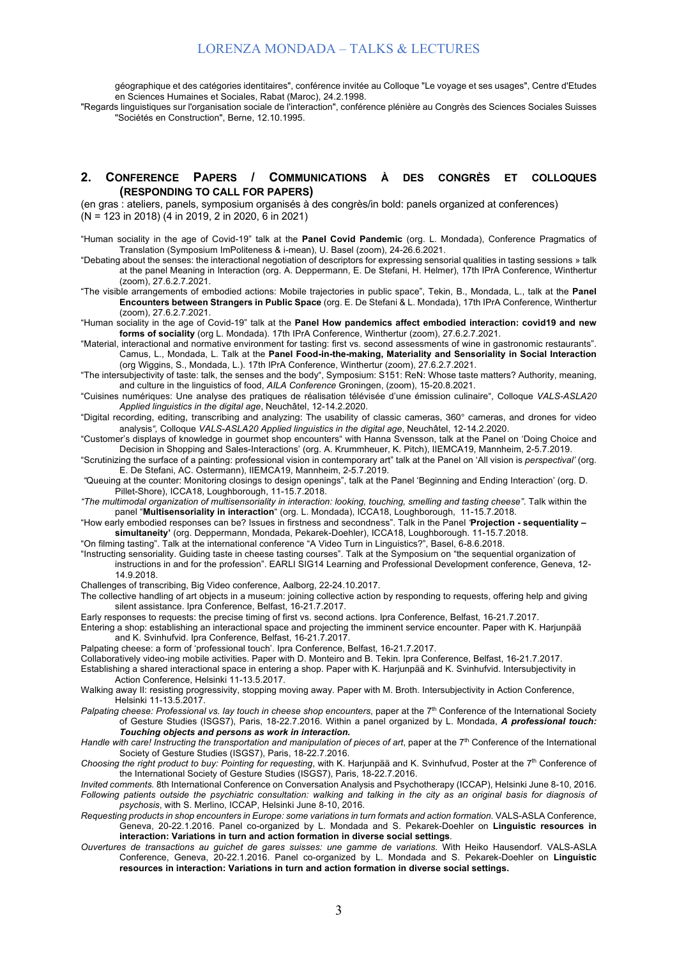géographique et des catégories identitaires", conférence invitée au Colloque "Le voyage et ses usages", Centre d'Etudes en Sciences Humaines et Sociales, Rabat (Maroc), 24.2.1998.

"Regards linguistiques sur l'organisation sociale de l'interaction", conférence plénière au Congrès des Sciences Sociales Suisses "Sociétés en Construction", Berne, 12.10.1995.

#### **2. CONFERENCE PAPERS / COMMUNICATIONS À DES CONGRÈS ET COLLOQUES (RESPONDING TO CALL FOR PAPERS)**

(en gras : ateliers, panels, symposium organisés à des congrès/in bold: panels organized at conferences) (N = 123 in 2018) (4 in 2019, 2 in 2020, 6 in 2021)

"Human sociality in the age of Covid-19" talk at the **Panel Covid Pandemic** (org. L. Mondada), Conference Pragmatics of Translation (Symposium ImPoliteness & i-mean), U. Basel (zoom), 24-26.6.2021.

"Debating about the senses: the interactional negotiation of descriptors for expressing sensorial qualities in tasting sessions » talk at the panel Meaning in Interaction (org. A. Deppermann, E. De Stefani, H. Helmer), 17th IPrA Conference, Winthertur (zoom), 27.6.2.7.2021.

- "The visible arrangements of embodied actions: Mobile trajectories in public space", Tekin, B., Mondada, L., talk at the **Panel Encounters between Strangers in Public Space** (org. E. De Stefani & L. Mondada), 17th IPrA Conference, Winthertur (zoom), 27.6.2.7.2021.
- "Human sociality in the age of Covid-19" talk at the **Panel How pandemics affect embodied interaction: covid19 and new forms of sociality** (org L. Mondada). 17th IPrA Conference, Winthertur (zoom), 27.6.2.7.2021.
- "Material, interactional and normative environment for tasting: first vs. second assessments of wine in gastronomic restaurants". Camus, L., Mondada, L. Talk at the **Panel Food-in-the-making, Materiality and Sensoriality in Social Interaction** (org Wiggins, S., Mondada, L.). 17th IPrA Conference, Winthertur (zoom), 27.6.2.7.2021.
- "The intersubjectivity of taste: talk, the senses and the body", Symposium: S151: ReN: Whose taste matters? Authority, meaning, and culture in the linguistics of food, *AILA Conference* Groningen, (zoom), 15-20.8.2021.
- "Cuisines numériques: Une analyse des pratiques de réalisation télévisée d'une émission culinaire", Colloque *VALS-ASLA20 Applied linguistics in the digital age*, Neuchâtel, 12-14.2.2020.
- "Digital recording, editing, transcribing and analyzing: The usability of classic cameras, 360° cameras, and drones for video analysis*",* Colloque *VALS-ASLA20 Applied linguistics in the digital age*, Neuchâtel, 12-14.2.2020.
- "Customer's displays of knowledge in gourmet shop encounters" with Hanna Svensson, talk at the Panel on 'Doing Choice and Decision in Shopping and Sales-Interactions' (org. A. Krummheuer, K. Pitch), IIEMCA19, Mannheim, 2-5.7.2019.
- "Scrutinizing the surface of a painting: professional vision in contemporary art" talk at the Panel on 'All vision is *perspectival'* (org. E. De Stefani, AC. Ostermann), IIEMCA19, Mannheim, 2-5.7.2019.
- *"*Queuing at the counter: Monitoring closings to design openings", talk at the Panel 'Beginning and Ending Interaction' (org. D. Pillet-Shore), ICCA18, Loughborough, 11-15.7.2018.
- *"The multimodal organization of multisensoriality in interaction: looking, touching, smelling and tasting cheese"*. Talk within the panel "**Multisensoriality in interaction**" (org. L. Mondada), ICCA18, Loughborough, 11-15.7.2018.
- "How early embodied responses can be? Issues in firstness and secondness". Talk in the Panel *'***Projection - sequentiality – simultaneity'** (org. Deppermann, Mondada, Pekarek-Doehler), ICCA18, Loughborough. 11-15.7.2018.
- "On filming tasting". Talk at the international conference "A Video Turn in Linguistics?", Basel, 6-8.6.2018.
- "Instructing sensoriality. Guiding taste in cheese tasting courses". Talk at the Symposium on "the sequential organization of instructions in and for the profession". EARLI SIG14 Learning and Professional Development conference, Geneva, 12- 14.9.2018.
- Challenges of transcribing, Big Video conference, Aalborg, 22-24.10.2017.
- The collective handling of art objects in a museum: joining collective action by responding to requests, offering help and giving silent assistance. Ipra Conference, Belfast, 16-21.7.2017.
- Early responses to requests: the precise timing of first vs. second actions. Ipra Conference, Belfast, 16-21.7.2017.
- Entering a shop: establishing an interactional space and projecting the imminent service encounter. Paper with K. Harjunpää and K. Svinhufvid. Ipra Conference, Belfast, 16-21.7.2017.
- Palpating cheese: a form of 'professional touch'. Ipra Conference, Belfast, 16-21.7.2017.
- Collaboratively video-ing mobile activities. Paper with D. Monteiro and B. Tekin. Ipra Conference, Belfast, 16-21.7.2017. Establishing a shared interactional space in entering a shop. Paper with K. Harjunpää and K. Svinhufvid. Intersubjectivity in
- Action Conference, Helsinki 11-13.5.2017.
- Walking away II: resisting progressivity, stopping moving away. Paper with M. Broth. Intersubjectivity in Action Conference, Helsinki 11-13.5.2017.
- Palpating cheese: Professional vs. lay touch in cheese shop encounters, paper at the 7<sup>th</sup> Conference of the International Society of Gesture Studies (ISGS7), Paris, 18-22.7.2016. Within a panel organized by L. Mondada, *A professional touch: Touching objects and persons as work in interaction.*
- Handle with care! Instructing the transportation and manipulation of pieces of art, paper at the 7<sup>th</sup> Conference of the International Society of Gesture Studies (ISGS7), Paris, 18-22.7.2016.
- *Choosing the right product to buy: Pointing for requesting, with K. Harjunpää and K. Svinhufvud, Poster at the 7<sup>th</sup> Conference of* the International Society of Gesture Studies (ISGS7), Paris, 18-22.7.2016.
- *Invited comments.* 8th International Conference on Conversation Analysis and Psychotherapy (ICCAP), Helsinki June 8-10, 2016. *Following patients outside the psychiatric consultation: walking and talking in the city as an original basis for diagnosis of psychosis*, with S. Merlino, ICCAP, Helsinki June 8-10, 2016.
- *Requesting products in shop encounters in Europe: some variations in turn formats and action formation.* VALS-ASLA Conference, Geneva, 20-22.1.2016. Panel co-organized by L. Mondada and S. Pekarek-Doehler on **Linguistic resources in interaction: Variations in turn and action formation in diverse social settings***.*
- *Ouvertures de transactions au guichet de gares suisses: une gamme de variations*. With Heiko Hausendorf. VALS-ASLA Conference, Geneva, 20-22.1.2016. Panel co-organized by L. Mondada and S. Pekarek-Doehler on **Linguistic resources in interaction: Variations in turn and action formation in diverse social settings.**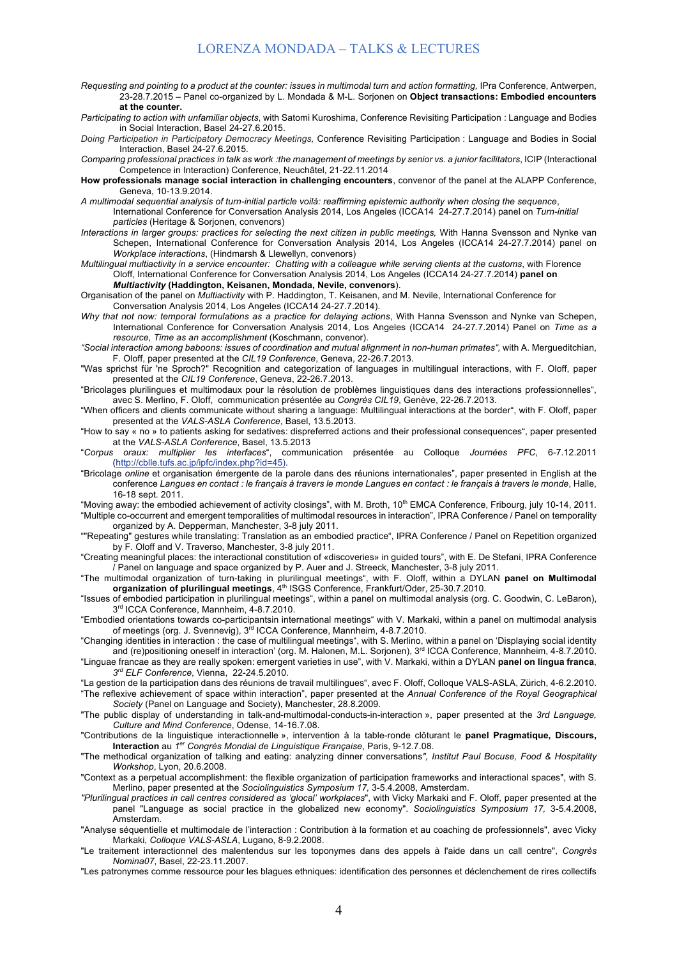- *Requesting and pointing to a product at the counter: issues in multimodal turn and action formatting,* IPra Conference, Antwerpen, 23-28.7.2015 – Panel co-organized by L. Mondada & M-L. Sorjonen on **Object transactions: Embodied encounters at the counter.**
- *Participating to action with unfamiliar objects*, with Satomi Kuroshima, Conference Revisiting Participation : Language and Bodies in Social Interaction, Basel 24-27.6.2015.
- *Doing Participation in Participatory Democracy Meetings,* Conference Revisiting Participation : Language and Bodies in Social Interaction, Basel 24-27.6.2015*.*
- *Comparing professional practices in talk as work :the management of meetings by senior vs. a junior facilitators*, ICIP (Interactional Competence in Interaction) Conference, Neuchâtel, 21-22.11.2014
- **How professionals manage social interaction in challenging encounters**, convenor of the panel at the ALAPP Conference, Geneva, 10-13.9.2014.
- *A multimodal sequential analysis of turn-initial particle voilà: reaffirming epistemic authority when closing the sequence*, International Conference for Conversation Analysis 2014, Los Angeles (ICCA14 24-27.7.2014) panel on *Turn-initial particles* (Heritage & Sorjonen, convenors)
- *Interactions in larger groups: practices for selecting the next citizen in public meetings, With Hanna Svensson and Nynke van* Schepen, International Conference for Conversation Analysis 2014, Los Angeles (ICCA14 24-27.7.2014) panel on *Workplace interactions*, (Hindmarsh & Llewellyn, convenors)
- *Multilingual multiactivity in a service encounter: Chatting with a colleague while serving clients at the customs*, with Florence Oloff, International Conference for Conversation Analysis 2014, Los Angeles (ICCA14 24-27.7.2014) **panel on**  *Multiactivity* **(Haddington, Keisanen, Mondada, Nevile, convenors**).
- Organisation of the panel on *Multiactivity* with P. Haddington, T. Keisanen, and M. Nevile, International Conference for Conversation Analysis 2014, Los Angeles (ICCA14 24-27.7.2014).
- *Why that not now: temporal formulations as a practice for delaying actions*, With Hanna Svensson and Nynke van Schepen, International Conference for Conversation Analysis 2014, Los Angeles (ICCA14 24-27.7.2014) Panel on *Time as a resource, Time as an accomplishment* (Koschmann, convenor).
- *"Social interaction among baboons: issues of coordination and mutual alignment in non-human primates",* with A. Mergueditchian, F. Oloff, paper presented at the *CIL19 Conference*, Geneva, 22-26.7.2013.
- "Was sprichst für 'ne Sproch?" Recognition and categorization of languages in multilingual interactions, with F. Oloff, paper presented at the *CIL19 Conference*, Geneva, 22-26.7.2013.
- "Bricolages plurilingues et multimodaux pour la résolution de problèmes linguistiques dans des interactions professionnelles", avec S. Merlino, F. Oloff, communication présentée au *Congrès CIL19*, Genève, 22-26.7.2013.
- "When officers and clients communicate without sharing a language: Multilingual interactions at the border", with F. Oloff, paper presented at the *VALS-ASLA Conference*, Basel, 13.5.2013.
- "How to say « no » to patients asking for sedatives: dispreferred actions and their professional consequences", paper presented at the *VALS-ASLA Conference*, Basel, 13.5.2013
- "*Corpus oraux: multiplier les interfaces*", communication présentée au Colloque *Journées PFC*, 6-7.12.2011 (http://cblle.tufs.ac.jp/ipfc/index.php?id=45).
- "Bricolage *online* et organisation émergente de la parole dans des réunions internationales", paper presented in English at the conference *Langues en contact : le français à travers le monde Langues en contact : le français à travers le monde*, Halle, 16-18 sept. 2011.
- "Moving away: the embodied achievement of activity closings", with M. Broth, 10<sup>th</sup> EMCA Conference, Fribourg, july 10-14, 2011. "Multiple co-occurrent and emergent temporalities of multimodal resources in interaction", IPRA Conference / Panel on temporality organized by A. Depperman, Manchester, 3-8 july 2011.
- ""Repeating" gestures while translating: Translation as an embodied practice", IPRA Conference / Panel on Repetition organized by F. Oloff and V. Traverso, Manchester, 3-8 july 2011.
- "Creating meaningful places: the interactional constitution of «discoveries» in guided tours", with E. De Stefani, IPRA Conference / Panel on language and space organized by P. Auer and J. Streeck, Manchester, 3-8 july 2011.
- "The multimodal organization of turn-taking in plurilingual meetings", with F. Oloff, within a DYLAN **panel on Multimodal**  organization of plurilingual meetings, 4<sup>th</sup> ISGS Conference, Frankfurt/Oder, 25-30.7.2010.
- "Issues of embodied participation in plurilingual meetings", within a panel on multimodal analysis (org. C. Goodwin, C. LeBaron), 3<sup>rd</sup> ICCA Conference, Mannheim, 4-8.7.2010.
- "Embodied orientations towards co-participantsin international meetings" with V. Markaki, within a panel on multimodal analysis of meetings (org. J. Svennevig), 3<sup>rd</sup> ICCA Conference, Mannheim, 4-8.7.2010.
- "Changing identities in interaction : the case of multilingual meetings", with S. Merlino, within a panel on 'Displaying social identity and (re)positioning oneself in interaction' (org. M. Halonen, M.L. Sorjonen), 3<sup>rd</sup> ICCA Conference, Mannheim, 4-8.7.2010.
- "Linguae francae as they are really spoken: emergent varieties in use", with V. Markaki, within a DYLAN **panel on lingua franca**, *3rd ELF Conference*, Vienna, 22-24.5.2010.
- "La gestion de la participation dans des réunions de travail multilingues", avec F. Oloff, Colloque VALS-ASLA, Zürich, 4-6.2.2010. "The reflexive achievement of space within interaction", paper presented at the *Annual Conference of the Royal Geographical Society* (Panel on Language and Society), Manchester, 28.8.2009.
- "The public display of understanding in talk-and-multimodal-conducts-in-interaction », paper presented at the *3rd Language, Culture and Mind Conference*, Odense, 14-16.7.08.
- "Contributions de la linguistique interactionnelle », intervention à la table-ronde clôturant le **panel Pragmatique, Discours, Interaction** au *1er Congrès Mondial de Linguistique Française*, Paris, 9-12.7.08.
- "The methodical organization of talking and eating: analyzing dinner conversations*", Institut Paul Bocuse, Food & Hospitality Workshop*, Lyon, 20.6.2008.
- "Context as a perpetual accomplishment: the flexible organization of participation frameworks and interactional spaces", with S. Merlino, paper presented at the *Sociolinguistics Symposium 17,* 3-5.4.2008, Amsterdam.
- *"Plurilingual practices in call centres considered as 'glocal' workplaces*", with Vicky Markaki and F. Oloff*,* paper presented at the panel "Language as social practice in the globalized new economy". *Sociolinguistics Symposium 17,* 3-5.4.2008, Amsterdam.
- "Analyse séquentielle et multimodale de l'interaction : Contribution à la formation et au coaching de professionnels", avec Vicky Markaki*, Colloque VALS-ASLA*, Lugano, 8-9.2.2008.
- "Le traitement interactionnel des malentendus sur les toponymes dans des appels à l'aide dans un call centre", *Congrès Nomina07*, Basel, 22-23.11.2007.
- "Les patronymes comme ressource pour les blagues ethniques: identification des personnes et déclenchement de rires collectifs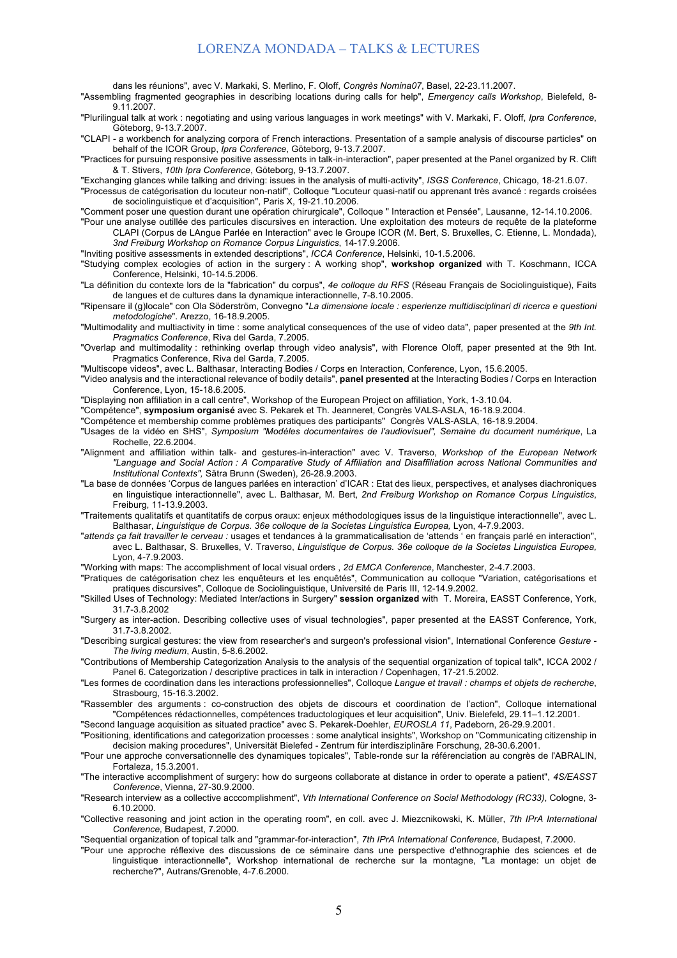dans les réunions", avec V. Markaki, S. Merlino, F. Oloff, *Congrès Nomina07*, Basel, 22-23.11.2007.

"Assembling fragmented geographies in describing locations during calls for help", *Emergency calls Workshop*, Bielefeld, 8- 9.11.2007.

"Plurilingual talk at work : negotiating and using various languages in work meetings" with V. Markaki, F. Oloff, *Ipra Conference*, Göteborg, 9-13.7.2007.

"CLAPI - a workbench for analyzing corpora of French interactions. Presentation of a sample analysis of discourse particles" on behalf of the ICOR Group, *Ipra Conference*, Göteborg, 9-13.7.2007.

"Practices for pursuing responsive positive assessments in talk-in-interaction", paper presented at the Panel organized by R. Clift & T. Stivers, *10th Ipra Conference*, Göteborg, 9-13.7.2007.

"Exchanging glances while talking and driving: issues in the analysis of multi-activity", *ISGS Conference*, Chicago, 18-21.6.07.

"Processus de catégorisation du locuteur non-natif", Colloque "Locuteur quasi-natif ou apprenant très avancé : regards croisées de sociolinguistique et d'acquisition", Paris X, 19-21.10.2006.

"Comment poser une question durant une opération chirurgicale", Colloque " Interaction et Pensée", Lausanne, 12-14.10.2006.

"Pour une analyse outillée des particules discursives en interaction. Une exploitation des moteurs de requête de la plateforme CLAPI (Corpus de LAngue Parlée en Interaction" avec le Groupe ICOR (M. Bert, S. Bruxelles, C. Etienne, L. Mondada), *3nd Freiburg Workshop on Romance Corpus Linguistics*, 14-17.9.2006.

"Inviting positive assessments in extended descriptions", *ICCA Conference*, Helsinki, 10-1.5.2006.

"Studying complex ecologies of action in the surgery : A working shop", **workshop organized** with T. Koschmann, ICCA Conference, Helsinki, 10-14.5.2006.

"La définition du contexte lors de la "fabrication" du corpus", *4e colloque du RFS* (Réseau Français de Sociolinguistique), Faits de langues et de cultures dans la dynamique interactionnelle, 7-8.10.2005.

"Ripensare il (g)locale" con Ola Söderström, Convegno "*La dimensione locale : esperienze multidisciplinari di ricerca e questioni metodologiche*". Arezzo, 16-18.9.2005.

"Multimodality and multiactivity in time : some analytical consequences of the use of video data", paper presented at the *9th Int. Pragmatics Conference*, Riva del Garda, 7.2005.

"Overlap and multimodality : rethinking overlap through video analysis", with Florence Oloff, paper presented at the 9th Int. Pragmatics Conference, Riva del Garda, 7.2005.

"Multiscope videos", avec L. Balthasar, Interacting Bodies / Corps en Interaction, Conference, Lyon, 15.6.2005.

"Video analysis and the interactional relevance of bodily details", **panel presented** at the Interacting Bodies / Corps en Interaction Conference, Lyon, 15-18.6.2005.

"Displaying non affiliation in a call centre", Workshop of the European Project on affiliation, York, 1-3.10.04.

"Compétence", **symposium organisé** avec S. Pekarek et Th. Jeanneret, Congrès VALS-ASLA, 16-18.9.2004.

"Compétence et membership comme problèmes pratiques des participants" Congrès VALS-ASLA, 16-18.9.2004.

- "Usages de la vidéo en SHS", *Symposium "Modèles documentaires de l'audiovisuel", Semaine du document numérique*, La Rochelle, 22.6.2004.
- "Alignment and affiliation within talk- and gestures-in-interaction" avec V. Traverso, *Workshop of the European Network "Language and Social Action : A Comparative Study of Affiliation and Disaffiliation across National Communities and Institutional Contexts",* Sätra Brunn (Sweden), 26-28.9.2003.
- "La base de données 'Corpus de langues parlées en interaction' d'ICAR : Etat des lieux, perspectives, et analyses diachroniques en linguistique interactionnelle", avec L. Balthasar, M. Bert, *2nd Freiburg Workshop on Romance Corpus Linguistics*, Freiburg, 11-13.9.2003.

"Traitements qualitatifs et quantitatifs de corpus oraux: enjeux méthodologiques issus de la linguistique interactionnelle", avec L. Balthasar, *Linguistique de Corpus. 36e colloque de la Societas Linguistica Europea,* Lyon, 4-7.9.2003.

"*attends ça fait travailler le cerveau :* usages et tendances à la grammaticalisation de 'attends ' en français parlé en interaction", avec L. Balthasar, S. Bruxelles, V. Traverso, *Linguistique de Corpus. 36e colloque de la Societas Linguistica Europea,*  Lyon, 4-7.9.2003.

"Working with maps: The accomplishment of local visual orders , *2d EMCA Conference*, Manchester, 2-4.7.2003.

"Pratiques de catégorisation chez les enquêteurs et les enquêtés", Communication au colloque "Variation, catégorisations et pratiques discursives", Colloque de Sociolinguistique, Université de Paris III, 12-14.9.2002.

"Skilled Uses of Technology: Mediated Inter/actions in Surgery" **session organized** with T. Moreira, EASST Conference, York, 31.7-3.8.2002

"Surgery as inter-action. Describing collective uses of visual technologies", paper presented at the EASST Conference, York, 31.7-3.8.2002.

"Describing surgical gestures: the view from researcher's and surgeon's professional vision", International Conference *Gesture - The living medium*, Austin, 5-8.6.2002.

"Contributions of Membership Categorization Analysis to the analysis of the sequential organization of topical talk", ICCA 2002 / Panel 6. Categorization / descriptive practices in talk in interaction / Copenhagen, 17-21.5.2002.

"Les formes de coordination dans les interactions professionnelles", Colloque *Langue et travail : champs et objets de recherche*, Strasbourg, 15-16.3.2002.

"Rassembler des arguments : co-construction des objets de discours et coordination de l'action", Colloque international "Compétences rédactionnelles, compétences traductologiques et leur acquisition", Univ. Bielefeld, 29.11–1.12.2001.

"Second language acquisition as situated practice" avec S. Pekarek-Doehler, *EUROSLA 11*, Padeborn, 26-29.9.2001.

"Positioning, identifications and categorization processes : some analytical insights", Workshop on "Communicating citizenship in decision making procedures", Universität Bielefed - Zentrum für interdisziplinäre Forschung, 28-30.6.2001.

"Pour une approche conversationnelle des dynamiques topicales", Table-ronde sur la référenciation au congrès de l'ABRALIN, Fortaleza, 15.3.2001.

"The interactive accomplishment of surgery: how do surgeons collaborate at distance in order to operate a patient", *4S/EASST Conference*, Vienna, 27-30.9.2000.

"Research interview as a collective acccomplishment", *Vth International Conference on Social Methodology (RC33)*, Cologne, 3- 6.10.2000.

"Collective reasoning and joint action in the operating room", en coll. avec J. Miezcnikowski, K. Müller, *7th IPrA International Conference,* Budapest, 7.2000.

"Sequential organization of topical talk and "grammar-for-interaction", *7th IPrA International Conference*, Budapest, 7.2000.

"Pour une approche réflexive des discussions de ce séminaire dans une perspective d'ethnographie des sciences et de linguistique interactionnelle", Workshop international de recherche sur la montagne, "La montage: un objet de recherche?", Autrans/Grenoble, 4-7.6.2000.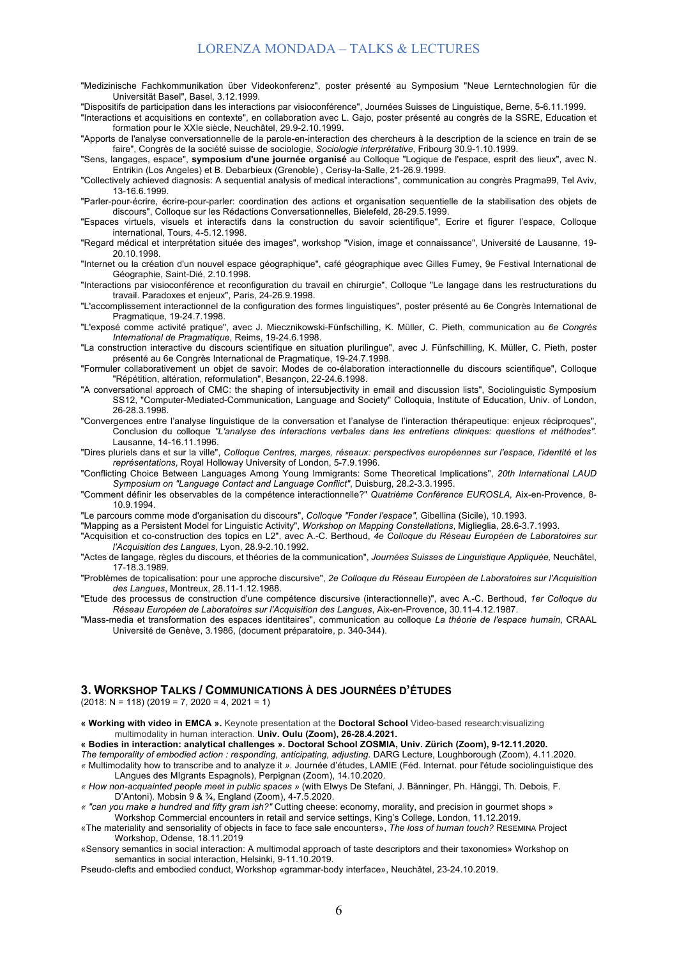- "Medizinische Fachkommunikation über Videokonferenz", poster présenté au Symposium "Neue Lerntechnologien für die Universität Basel", Basel, 3.12.1999.
- "Dispositifs de participation dans les interactions par visioconférence", Journées Suisses de Linguistique, Berne, 5-6.11.1999.
- "Interactions et acquisitions en contexte", en collaboration avec L. Gajo, poster présenté au congrès de la SSRE, Education et formation pour le XXIe siècle, Neuchâtel, 29.9-2.10.1999**.**
- "Apports de l'analyse conversationnelle de la parole-en-interaction des chercheurs à la description de la science en train de se faire", Congrès de la société suisse de sociologie, *Sociologie interprétative*, Fribourg 30.9-1.10.1999.
- "Sens, langages, espace", **symposium d'une journée organisé** au Colloque "Logique de l'espace, esprit des lieux", avec N. Entrikin (Los Angeles) et B. Debarbieux (Grenoble) , Cerisy-la-Salle, 21-26.9.1999.
- "Collectively achieved diagnosis: A sequential analysis of medical interactions", communication au congrès Pragma99, Tel Aviv, 13-16.6.1999.
- "Parler-pour-écrire, écrire-pour-parler: coordination des actions et organisation sequentielle de la stabilisation des objets de discours", Colloque sur les Rédactions Conversationnelles, Bielefeld, 28-29.5.1999.
- "Espaces virtuels, visuels et interactifs dans la construction du savoir scientifique", Ecrire et figurer l'espace, Colloque international, Tours, 4-5.12.1998.
- "Regard médical et interprétation située des images", workshop "Vision, image et connaissance", Université de Lausanne, 19- 20.10.1998.
- "Internet ou la création d'un nouvel espace géographique", café géographique avec Gilles Fumey, 9e Festival International de Géographie, Saint-Dié, 2.10.1998.
- "Interactions par visioconférence et reconfiguration du travail en chirurgie", Colloque "Le langage dans les restructurations du travail. Paradoxes et enjeux", Paris, 24-26.9.1998.
- "L'accomplissement interactionnel de la configuration des formes linguistiques", poster présenté au 6e Congrès International de Pragmatique, 19-24.7.1998.
- "L'exposé comme activité pratique", avec J. Miecznikowski-Fünfschilling, K. Müller, C. Pieth, communication au *6e Congrès International de Pragmatique*, Reims, 19-24.6.1998.
- "La construction interactive du discours scientifique en situation plurilingue", avec J. Fünfschilling, K. Müller, C. Pieth, poster présenté au 6e Congrès International de Pragmatique, 19-24.7.1998.
- "Formuler collaborativement un objet de savoir: Modes de co-élaboration interactionnelle du discours scientifique", Colloque "Répétition, altération, reformulation", Besançon, 22-24.6.1998.
- "A conversational approach of CMC: the shaping of intersubjectivity in email and discussion lists", Sociolinguistic Symposium SS12, "Computer-Mediated-Communication, Language and Society" Colloquia, Institute of Education, Univ. of London, 26-28.3.1998.
- "Convergences entre l'analyse linguistique de la conversation et l'analyse de l'interaction thérapeutique: enjeux réciproques", Conclusion du colloque *"L'analyse des interactions verbales dans les entretiens cliniques: questions et méthodes".* Lausanne, 14-16.11.1996.
- "Dires pluriels dans et sur la ville", *Colloque Centres, marges, réseaux: perspectives européennes sur l'espace, l'identité et les représentations*, Royal Holloway University of London, 5-7.9.1996.
- "Conflicting Choice Between Languages Among Young Immigrants: Some Theoretical Implications", *20th International LAUD Symposium on "Language Contact and Language Conflict"*, Duisburg, 28.2-3.3.1995.
- "Comment définir les observables de la compétence interactionnelle?" *Quatrième Conférence EUROSLA,* Aix-en-Provence, 8- 10.9.1994.
- "Le parcours comme mode d'organisation du discours", *Colloque "Fonder l'espace",* Gibellina (Sicile), 10.1993.
- "Mapping as a Persistent Model for Linguistic Activity", *Workshop on Mapping Constellations*, Miglieglia, 28.6-3.7.1993.
- "Acquisition et co-construction des topics en L2", avec A.-C. Berthoud, *4e Colloque du Réseau Européen de Laboratoires sur l'Acquisition des Langues*, Lyon, 28.9-2.10.1992.
- "Actes de langage, règles du discours, et théories de la communication", *Journées Suisses de Linguistique Appliquée,* Neuchâtel, 17-18.3.1989.
- "Problèmes de topicalisation: pour une approche discursive", *2e Colloque du Réseau Européen de Laboratoires sur l'Acquisition des Langues*, Montreux, 28.11-1.12.1988.
- "Etude des processus de construction d'une compétence discursive (interactionnelle)", avec A.-C. Berthoud, *1er Colloque du Réseau Européen de Laboratoires sur l'Acquisition des Langues*, Aix-en-Provence, 30.11-4.12.1987.
- "Mass-media et transformation des espaces identitaires", communication au colloque *La théorie de l'espace humain*, CRAAL Université de Genève, 3.1986, (document préparatoire, p. 340-344).

#### **3. WORKSHOP TALKS / COMMUNICATIONS À DES JOURNÉES D'ÉTUDES**

 $(2018: N = 118) (2019 = 7, 2020 = 4, 2021 = 1)$ 

- **« Working with video in EMCA ».** Keynote presentation at the **Doctoral School** Video-based research:visualizing multimodality in human interaction. **Univ. Oulu (Zoom), 26-28.4.2021.**
- **« Bodies in interaction: analytical challenges ». Doctoral School ZOSMIA, Univ. Zürich (Zoom), 9-12.11.2020.**
- *The temporality of embodied action : responding, anticipating, adjusting.* DARG Lecture, Loughborough (Zoom), 4.11.2020. *«* Multimodality how to transcribe and to analyze it *».* Journée d'études, LAMIE (Féd. Internat. pour l'étude sociolinguistique des LAngues des MIgrants Espagnols), Perpignan (Zoom), 14.10.2020.
- *« How non-acquainted people meet in public spaces »* (with Elwys De Stefani, J. Bänninger, Ph. Hänggi, Th. Debois, F. D'Antoni). Mobsin 9 & ¾, England (Zoom), 4-7.5.2020.
- *« "can you make a hundred and fifty gram ish?"* Cutting cheese: economy, morality, and precision in gourmet shops » Workshop Commercial encounters in retail and service settings, King's College, London, 11.12.2019.
- «The materiality and sensoriality of objects in face to face sale encounters», *The loss of human touch?* RESEMINA Project Workshop, Odense, 18.11.2019
- «Sensory semantics in social interaction: A multimodal approach of taste descriptors and their taxonomies» Workshop on semantics in social interaction, Helsinki, 9-11.10.2019.

Pseudo-clefts and embodied conduct, Workshop «grammar-body interface», Neuchâtel, 23-24.10.2019.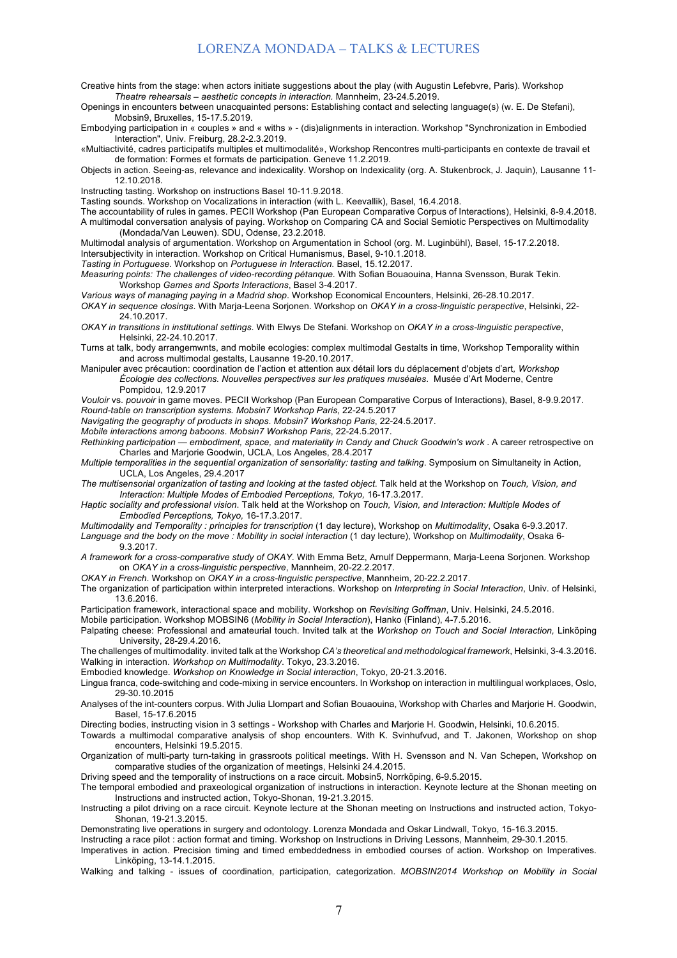- Creative hints from the stage: when actors initiate suggestions about the play (with Augustin Lefebvre, Paris). Workshop *Theatre rehearsals – aesthetic concepts in interaction.* Mannheim, 23-24.5.2019.
- Openings in encounters between unacquainted persons: Establishing contact and selecting language(s) (w. E. De Stefani), Mobsin9, Bruxelles, 15-17.5.2019.
- Embodying participation in « couples » and « withs » (dis)alignments in interaction. Workshop "Synchronization in Embodied Interaction", Univ. Freiburg, 28.2-2.3.2019.
- «Multiactivité, cadres participatifs multiples et multimodalité», Workshop Rencontres multi-participants en contexte de travail et de formation: Formes et formats de participation. Geneve 11.2.2019.
- Objects in action. Seeing-as, relevance and indexicality. Worshop on Indexicality (org. A. Stukenbrock, J. Jaquin), Lausanne 11- 12.10.2018.
- Instructing tasting. Workshop on instructions Basel 10-11.9.2018.

Tasting sounds. Workshop on Vocalizations in interaction (with L. Keevallik), Basel, 16.4.2018.

The accountability of rules in games. PECII Workshop (Pan European Comparative Corpus of Interactions), Helsinki, 8-9.4.2018. A multimodal conversation analysis of paying. Workshop on Comparing CA and Social Semiotic Perspectives on Multimodality (Mondada/Van Leuwen). SDU, Odense, 23.2.2018.

- Multimodal analysis of argumentation. Workshop on Argumentation in School (org. M. Luginbühl), Basel, 15-17.2.2018. Intersubjectivity in interaction. Workshop on Critical Humanismus, Basel, 9-10.1.2018.
- *Tasting in Portuguese.* Workshop on *Portuguese in Interaction.* Basel, 15.12.2017.
- *Measuring points: The challenges of video-recording pétanque.* With Sofian Bouaouina, Hanna Svensson, Burak Tekin. Workshop *Games and Sports Interactions*, Basel 3-4.2017.

*Various ways of managing paying in a Madrid shop*. Workshop Economical Encounters, Helsinki, 26-28.10.2017.

- *OKAY in sequence closings*. With Marja-Leena Sorjonen. Workshop on *OKAY in a cross-linguistic perspective*, Helsinki, 22- 24.10.2017.
- *OKAY in transitions in institutional settings*. With Elwys De Stefani. Workshop on *OKAY in a cross-linguistic perspective*, Helsinki, 22-24.10.2017.
- Turns at talk, body arrangemwnts, and mobile ecologies: complex multimodal Gestalts in time, Workshop Temporality within and across multimodal gestalts, Lausanne 19-20.10.2017.
- Manipuler avec précaution: coordination de l'action et attention aux détail lors du déplacement d'objets d'art*, Workshop Écologie des collections. Nouvelles perspectives sur les pratiques muséales*. Musée d'Art Moderne, Centre Pompidou, 12.9.2017

*Vouloir* vs. *pouvoir* in game moves. PECII Workshop (Pan European Comparative Corpus of Interactions), Basel, 8-9.9.2017. *Round-table on transcription systems. Mobsin7 Workshop Paris*, 22-24.5.2017

*Navigating the geography of products in shops*. *Mobsin7 Workshop Paris*, 22-24.5.2017.

*Mobile interactions among baboons*. *Mobsin7 Workshop Paris*, 22-24.5.2017.

*Rethinking participation — embodiment, space, and materiality in Candy and Chuck Goodwin's work* . A career retrospective on Charles and Marjorie Goodwin, UCLA, Los Angeles, 28.4.2017

*Multiple temporalities in the sequential organization of sensoriality: tasting and talking*. Symposium on Simultaneity in Action, UCLA, Los Angeles, 29.4.2017

*The multisensorial organization of tasting and looking at the tasted object*. Talk held at the Workshop on *Touch, Vision, and Interaction: Multiple Modes of Embodied Perceptions, Tokyo,* 16-17.3.2017*.*

*Haptic sociality and professional vision*. Talk held at the Workshop on *Touch, Vision, and Interaction: Multiple Modes of Embodied Perceptions, Tokyo,* 16-17.3.2017.

- *Multimodality and Temporality : principles for transcription* (1 day lecture), Workshop on *Multimodality*, Osaka 6-9.3.2017.
- *Language and the body on the move : Mobility in social interaction* (1 day lecture), Workshop on *Multimodality*, Osaka 6- 9.3.2017.
- *A framework for a cross-comparative study of OKAY*. With Emma Betz, Arnulf Deppermann, Marja-Leena Sorjonen. Workshop on *OKAY in a cross-linguistic perspective*, Mannheim, 20-22.2.2017.
- *OKAY in French*. Workshop on *OKAY in a cross-linguistic perspective*, Mannheim, 20-22.2.2017.
- The organization of participation within interpreted interactions. Workshop on *Interpreting in Social Interaction*, Univ. of Helsinki, 13.6.2016.

Participation framework, interactional space and mobility. Workshop on *Revisiting Goffman*, Univ. Helsinki, 24.5.2016.

Mobile participation. Workshop MOBSIN6 (*Mobility in Social Interaction*), Hanko (Finland), 4-7.5.2016.

Palpating cheese: Professional and amateurial touch. Invited talk at the *Workshop on Touch and Social Interaction,* Linköping University, 28-29.4.2016.

The challenges of multimodality. invited talk at the Workshop *CA's theoretical and methodological framework*, Helsinki, 3-4.3.2016. Walking in interaction. *Workshop on Multimodality*. Tokyo, 23.3.2016.

Embodied knowledge. *Workshop on Knowledge in Social interaction*, Tokyo, 20-21.3.2016.

- Lingua franca, code-switching and code-mixing in service encounters. In Workshop on interaction in multilingual workplaces, Oslo, 29-30.10.2015
- Analyses of the int-counters corpus. With Julia Llompart and Sofian Bouaouina, Workshop with Charles and Marjorie H. Goodwin, Basel, 15-17.6.2015

Directing bodies, instructing vision in 3 settings - Workshop with Charles and Marjorie H. Goodwin, Helsinki, 10.6.2015.

Towards a multimodal comparative analysis of shop encounters. With K. Svinhufvud, and T. Jakonen, Workshop on shop encounters, Helsinki 19.5.2015.

Organization of multi-party turn-taking in grassroots political meetings. With H. Svensson and N. Van Schepen, Workshop on comparative studies of the organization of meetings, Helsinki 24.4.2015.

Driving speed and the temporality of instructions on a race circuit. Mobsin5, Norrköping, 6-9.5.2015.

- The temporal embodied and praxeological organization of instructions in interaction. Keynote lecture at the Shonan meeting on Instructions and instructed action, Tokyo-Shonan, 19-21.3.2015.
- Instructing a pilot driving on a race circuit. Keynote lecture at the Shonan meeting on Instructions and instructed action, Tokyo-Shonan, 19-21.3.2015.

Demonstrating live operations in surgery and odontology. Lorenza Mondada and Oskar Lindwall, Tokyo, 15-16.3.2015.

Instructing a race pilot : action format and timing. Workshop on Instructions in Driving Lessons, Mannheim, 29-30.1.2015.

Imperatives in action. Precision timing and timed embeddedness in embodied courses of action. Workshop on Imperatives. Linköping, 13-14.1.2015.

Walking and talking - issues of coordination, participation, categorization. *MOBSIN2014 Workshop on Mobility in Social*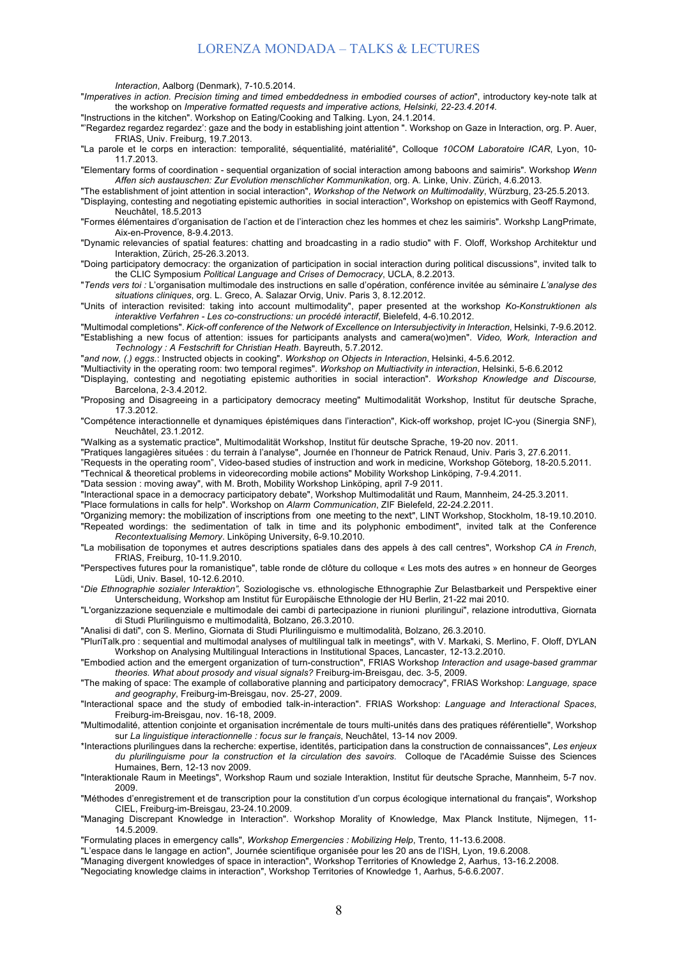*Interaction*, Aalborg (Denmark), 7-10.5.2014.

"*Imperatives in action. Precision timing and timed embeddedness in embodied courses of action*", introductory key-note talk at the workshop on *Imperative formatted requests and imperative actions, Helsinki, 22-23.4.2014.*

"Instructions in the kitchen". Workshop on Eating/Cooking and Talking. Lyon, 24.1.2014.

"'Regardez regardez regardez': gaze and the body in establishing joint attention ". Workshop on Gaze in Interaction, org. P. Auer, FRIAS, Univ. Freiburg, 19.7.2013.

"La parole et le corps en interaction: temporalité, séquentialité, matérialité", Colloque *10COM Laboratoire ICAR*, Lyon, 10- 11.7.2013.

"Elementary forms of coordination - sequential organization of social interaction among baboons and saimiris". Workshop *Wenn Affen sich austauschen: Zur Evolution menschlicher Kommunikation*, org. A. Linke, Univ. Zürich, 4.6.2013.

"The establishment of joint attention in social interaction", *Workshop of the Network on Multimodality*, Würzburg, 23-25.5.2013.

"Displaying, contesting and negotiating epistemic authorities in social interaction", Workshop on epistemics with Geoff Raymond, Neuchâtel, 18.5.2013

"Formes élémentaires d'organisation de l'action et de l'interaction chez les hommes et chez les saimiris". Workshp LangPrimate, Aix-en-Provence, 8-9.4.2013.

"Dynamic relevancies of spatial features: chatting and broadcasting in a radio studio" with F. Oloff, Workshop Architektur und Interaktion, Zürich, 25-26.3.2013.

"Doing participatory democracy: the organization of participation in social interaction during political discussions", invited talk to the CLIC Symposium *Political Language and Crises of Democracy*, UCLA, 8.2.2013.

"*Tends vers toi :* L'organisation multimodale des instructions en salle d'opération, conférence invitée au séminaire *L'analyse des situations cliniques*, org. L. Greco, A. Salazar Orvig, Univ. Paris 3, 8.12.2012.

"Units of interaction revisited: taking into account multimodality", paper presented at the workshop *Ko-Konstruktionen als interaktive Verfahren - Les co-constructions: un procédé interactif*, Bielefeld, 4-6.10.2012.

"Multimodal completions". *Kick-off conference of the Network of Excellence on Intersubjectivity in Interaction*, Helsinki, 7-9.6.2012. "Establishing a new focus of attention: issues for participants analysts and camera(wo)men". *Video, Work, Interaction and Technology : A Festschrift for Christian Heath*. Bayreuth, 5.7.2012.

"*and now, (.) eggs.*: Instructed objects in cooking". *Workshop on Objects in Interaction*, Helsinki, 4-5.6.2012.

"Multiactivity in the operating room: two temporal regimes". *Workshop on Multiactivity in interaction*, Helsinki, 5-6.6.2012

"Displaying, contesting and negotiating epistemic authorities in social interaction"*. Workshop Knowledge and Discourse,*  Barcelona, 2-3.4.2012.

"Proposing and Disagreeing in a participatory democracy meeting" Multimodalität Workshop, Institut für deutsche Sprache, 17.3.2012.

"Compétence interactionnelle et dynamiques épistémiques dans l'interaction", Kick-off workshop, projet IC-you (Sinergia SNF), Neuchâtel, 23.1.2012.

"Walking as a systematic practice", Multimodalität Workshop, Institut für deutsche Sprache, 19-20 nov. 2011.

"Pratiques langagières situées : du terrain à l'analyse", Journée en l'honneur de Patrick Renaud, Univ. Paris 3, 27.6.2011.

"Requests in the operating room", Video-based studies of instruction and work in medicine, Workshop Göteborg, 18-20.5.2011.

"Technical & theoretical problems in videorecording mobile actions" Mobility Workshop Linköping, 7-9.4.2011.

"Data session : moving away", with M. Broth, Mobility Workshop Linköping, april 7-9 2011.

"Interactional space in a democracy participatory debate", Workshop Multimodalität und Raum, Mannheim, 24-25.3.2011.

"Place formulations in calls for help". Workshop on *Alarm Communication*, ZIF Bielefeld, 22-24.2.2011.

"Organizing memory: the mobilization of inscriptions from one meeting to the next", LINT Workshop, Stockholm, 18-19.10.2010. "Repeated wordings: the sedimentation of talk in time and its polyphonic embodiment", invited talk at the Conference *Recontextualising Memory*. Linköping University, 6-9.10.2010.

"La mobilisation de toponymes et autres descriptions spatiales dans des appels à des call centres", Workshop *CA in French*, FRIAS, Freiburg, 10-11.9.2010.

"Perspectives futures pour la romanistique", table ronde de clôture du colloque « Les mots des autres » en honneur de Georges Lüdi, Univ. Basel, 10-12.6.2010.

"*Die Ethnographie sozialer Interaktion",* Soziologische vs. ethnologische Ethnographie Zur Belastbarkeit und Perspektive einer Unterscheidung, Workshop am Institut für Europäische Ethnologie der HU Berlin, 21-22 mai 2010.

"L'organizzazione sequenziale e multimodale dei cambi di partecipazione in riunioni plurilingui", relazione introduttiva, Giornata di Studi Plurilinguismo e multimodalità, Bolzano, 26.3.2010.

"Analisi di dati", con S. Merlino, Giornata di Studi Plurilinguismo e multimodalità, Bolzano, 26.3.2010.

"PluriTalk.pro : sequential and multimodal analyses of multilingual talk in meetings", with V. Markaki, S. Merlino, F. Oloff, DYLAN Workshop on Analysing Multilingual Interactions in Institutional Spaces, Lancaster, 12-13.2.2010.

"Embodied action and the emergent organization of turn-construction", FRIAS Workshop *Interaction and usage-based grammar theories. What about prosody and visual signals?* Freiburg-im-Breisgau, dec. 3-5, 2009.

"The making of space: The example of collaborative planning and participatory democracy", FRIAS Workshop: *Language, space and geography*, Freiburg-im-Breisgau, nov. 25-27, 2009.

"Interactional space and the study of embodied talk-in-interaction". FRIAS Workshop: *Language and Interactional Spaces*, Freiburg-im-Breisgau, nov. 16-18, 2009.

"Multimodalité, attention conjointe et organisation incrémentale de tours multi-unités dans des pratiques référentielle", Workshop sur *La linguistique interactionnelle : focus sur le français*, Neuchâtel, 13-14 nov 2009.

\*Interactions plurilingues dans la recherche: expertise, identités, participation dans la construction de connaissances", *Les enjeux du plurilinguisme pour la construction et la circulation des savoirs*. Colloque de l'Académie Suisse des Sciences Humaines, Bern, 12-13 nov 2009.

"Interaktionale Raum in Meetings", Workshop Raum und soziale Interaktion, Institut für deutsche Sprache, Mannheim, 5-7 nov. 2009.

"Méthodes d'enregistrement et de transcription pour la constitution d'un corpus écologique international du français", Workshop CIEL, Freiburg-im-Breisgau, 23-24.10.2009.

"Managing Discrepant Knowledge in Interaction". Workshop Morality of Knowledge, Max Planck Institute, Nijmegen, 11- 14.5.2009.

"Formulating places in emergency calls", *Workshop Emergencies : Mobilizing Help*, Trento, 11-13.6.2008.

"L'espace dans le langage en action", Journée scientifique organisée pour les 20 ans de l'ISH, Lyon, 19.6.2008.

"Managing divergent knowledges of space in interaction", Workshop Territories of Knowledge 2, Aarhus, 13-16.2.2008.

"Negociating knowledge claims in interaction", Workshop Territories of Knowledge 1, Aarhus, 5-6.6.2007.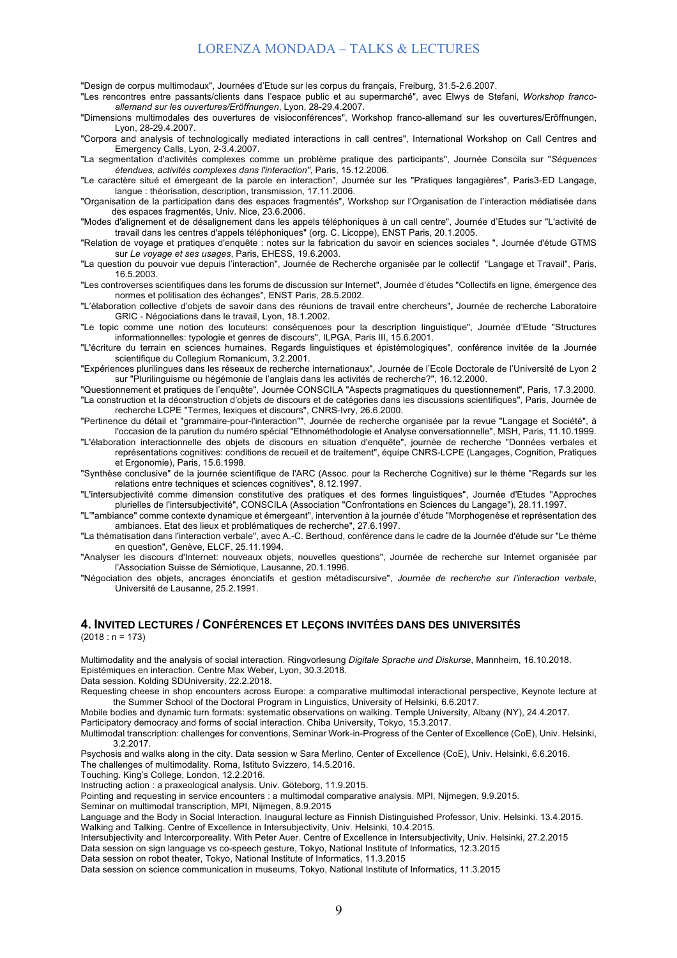"Design de corpus multimodaux", Journées d'Etude sur les corpus du français, Freiburg, 31.5-2.6.2007.

"Les rencontres entre passants/clients dans l'espace public et au supermarché", avec Elwys de Stefani, *Workshop francoallemand sur les ouvertures/Eröffnungen*, Lyon, 28-29.4.2007.

"Dimensions multimodales des ouvertures de visioconférences", Workshop franco-allemand sur les ouvertures/Eröffnungen, Lyon, 28-29.4.2007.

"Corpora and analysis of technologically mediated interactions in call centres", International Workshop on Call Centres and Emergency Calls, Lyon, 2-3.4.2007.

"La segmentation d'activités complexes comme un problème pratique des participants", Journée Conscila sur "*Séquences étendues, activités complexes dans l'interaction"*, Paris, 15.12.2006.

"Le caractère situé et émergeant de la parole en interaction", Journée sur les "Pratiques langagières", Paris3-ED Langage, langue : théorisation, description, transmission, 17.11.2006.

"Organisation de la participation dans des espaces fragmentés", Workshop sur l'Organisation de l'interaction médiatisée dans des espaces fragmentés, Univ. Nice, 23.6.2006.

"Modes d'alignement et de désalignement dans les appels téléphoniques à un call centre", Journée d'Etudes sur "L'activité de travail dans les centres d'appels téléphoniques" (org. C. Licoppe), ENST Paris, 20.1.2005.

"Relation de voyage et pratiques d'enquête : notes sur la fabrication du savoir en sciences sociales ", Journée d'étude GTMS sur *Le voyage et ses usages*, Paris, EHESS, 19.6.2003.

"La question du pouvoir vue depuis l'interaction", Journée de Recherche organisée par le collectif "Langage et Travail", Paris, 16.5.2003.

"Les controverses scientifiques dans les forums de discussion sur Internet", Journée d'études "Collectifs en ligne, émergence des normes et politisation des échanges", ENST Paris, 28.5.2002.

"L'élaboration collective d'objets de savoir dans des réunions de travail entre chercheurs"**,** Journée de recherche Laboratoire GRIC - Négociations dans le travail, Lyon, 18.1.2002.

"Le topic comme une notion des locuteurs: conséquences pour la description linguistique", Journée d'Etude "Structures informationnelles: typologie et genres de discours", ILPGA, Paris III, 15.6.2001.

"L'écriture du terrain en sciences humaines. Regards linguistiques et épistémologiques", conférence invitée de la Journée scientifique du Collegium Romanicum, 3.2.2001.

"Expériences plurilingues dans les réseaux de recherche internationaux", Journée de l'Ecole Doctorale de l'Université de Lyon 2 sur "Plurilinguisme ou hégémonie de l'anglais dans les activités de recherche?", 16.12.2000.

"Questionnement et pratiques de l'enquête", Journée CONSCILA "Aspects pragmatiques du questionnement", Paris, 17.3.2000. "La construction et la déconstruction d'objets de discours et de catégories dans les discussions scientifiques", Paris, Journée de recherche LCPE "Termes, lexiques et discours", CNRS-Ivry, 26.6.2000.

"Pertinence du détail et "grammaire-pour-l'interaction"", Journée de recherche organisée par la revue "Langage et Société", à l'occasion de la parution du numéro spécial "Ethnométhodologie et Analyse conversationnelle", MSH, Paris, 11.10.1999.

"L'élaboration interactionnelle des objets de discours en situation d'enquête", journée de recherche "Données verbales et représentations cognitives: conditions de recueil et de traitement", équipe CNRS-LCPE (Langages, Cognition, Pratiques et Ergonomie), Paris, 15.6.1998.

"Synthèse conclusive" de la journée scientifique de l'ARC (Assoc. pour la Recherche Cognitive) sur le thème "Regards sur les relations entre techniques et sciences cognitives", 8.12.1997.

"L'intersubjectivité comme dimension constitutive des pratiques et des formes linguistiques", Journée d'Etudes "Approches plurielles de l'intersubjectivité", CONSCILA (Association "Confrontations en Sciences du Langage"), 28.11.1997.

"L'"ambiance" comme contexte dynamique et émergeant", intervention à la journée d'étude "Morphogenèse et représentation des ambiances. Etat des lieux et problématiques de recherche", 27.6.1997.

"La thématisation dans l'interaction verbale", avec A.-C. Berthoud, conférence dans le cadre de la Journée d'étude sur "Le thème en question", Genève, ELCF, 25.11.1994.

"Analyser les discours d'Internet: nouveaux objets, nouvelles questions", Journée de recherche sur Internet organisée par l'Association Suisse de Sémiotique, Lausanne, 20.1.1996.

"Négociation des objets, ancrages énonciatifs et gestion métadiscursive", *Journée de recherche sur l'interaction verbale*, Université de Lausanne, 25.2.1991.

#### **4. INVITED LECTURES / CONFÉRENCES ET LEÇONS INVITÉES DANS DES UNIVERSITÉS**   $(2018 : n = 173)$

Multimodality and the analysis of social interaction. Ringvorlesung *Digitale Sprache und Diskurse*, Mannheim, 16.10.2018. Epistémiques en interaction. Centre Max Weber, Lyon, 30.3.2018.

Data session. Kolding SDUniversity, 22.2.2018.

Requesting cheese in shop encounters across Europe: a comparative multimodal interactional perspective, Keynote lecture at the Summer School of the Doctoral Program in Linguistics, University of Helsinki, 6.6.2017.

Mobile bodies and dynamic turn formats: systematic observations on walking. Temple University, Albany (NY), 24.4.2017.

Participatory democracy and forms of social interaction. Chiba University, Tokyo, 15.3.2017.

Multimodal transcription: challenges for conventions, Seminar Work-in-Progress of the Center of Excellence (CoE), Univ. Helsinki, 3.2.2017.

Psychosis and walks along in the city. Data session w Sara Merlino, Center of Excellence (CoE), Univ. Helsinki, 6.6.2016. The challenges of multimodality. Roma, Istituto Svizzero, 14.5.2016.

Touching. King's College, London, 12.2.2016.

Instructing action : a praxeological analysis. Univ. Göteborg, 11.9.2015.

Pointing and requesting in service encounters : a multimodal comparative analysis. MPI, Nijmegen, 9.9.2015.

Seminar on multimodal transcription, MPI, Nijmegen, 8.9.2015

Language and the Body in Social Interaction. Inaugural lecture as Finnish Distinguished Professor, Univ. Helsinki. 13.4.2015. Walking and Talking. Centre of Excellence in Intersubjectivity, Univ. Helsinki, 10.4.2015.

Intersubjectivity and Intercorporeality. With Peter Auer. Centre of Excellence in Intersubjectivity, Univ. Helsinki, 27.2.2015 Data session on sign language vs co-speech gesture, Tokyo, National Institute of Informatics, 12.3.2015

Data session on robot theater, Tokyo, National Institute of Informatics, 11.3.2015

Data session on science communication in museums, Tokyo, National Institute of Informatics, 11.3.2015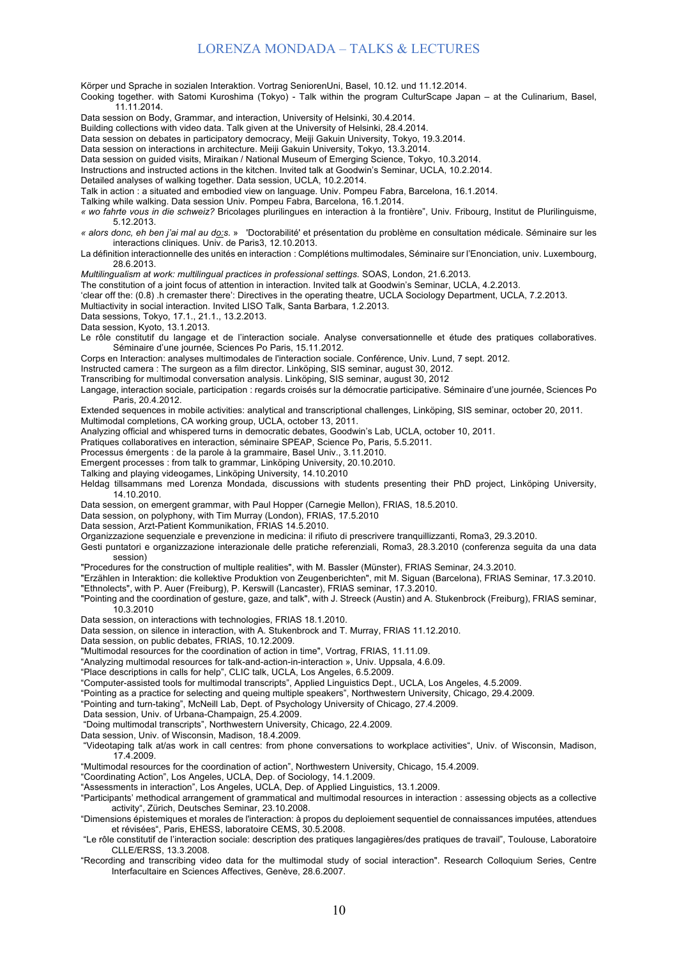Körper und Sprache in sozialen Interaktion. Vortrag SeniorenUni, Basel, 10.12. und 11.12.2014. Cooking together. with Satomi Kuroshima (Tokyo) - Talk within the program CulturScape Japan – at the Culinarium, Basel, 11.11.2014. Data session on Body, Grammar, and interaction, University of Helsinki, 30.4.2014. Building collections with video data. Talk given at the University of Helsinki, 28.4.2014. Data session on debates in participatory democracy, Meiji Gakuin University, Tokyo, 19.3.2014. Data session on interactions in architecture. Meiji Gakuin University, Tokyo, 13.3.2014. Data session on guided visits, Miraikan / National Museum of Emerging Science, Tokyo, 10.3.2014. Instructions and instructed actions in the kitchen. Invited talk at Goodwin's Seminar, UCLA, 10.2.2014. Detailed analyses of walking together. Data session, UCLA, 10.2.2014. Talk in action : a situated and embodied view on language. Univ. Pompeu Fabra, Barcelona, 16.1.2014. Talking while walking. Data session Univ. Pompeu Fabra, Barcelona, 16.1.2014. *« wo fahrte vous in die schweiz?* Bricolages plurilingues en interaction à la frontière", Univ. Fribourg, Institut de Plurilinguisme, 5.12.2013. *« alors donc, eh ben j'ai mal au do:s.* » 'Doctorabilité' et présentation du problème en consultation médicale. Séminaire sur les interactions cliniques. Univ. de Paris3, 12.10.2013. La définition interactionnelle des unités en interaction : Complétions multimodales, Séminaire sur l'Enonciation, univ. Luxembourg, 28.6.2013. *Multilingualism at work: multilingual practices in professional settings.* SOAS, London, 21.6.2013. The constitution of a joint focus of attention in interaction. Invited talk at Goodwin's Seminar, UCLA, 4.2.2013. 'clear off the: (0.8) .h cremaster there': Directives in the operating theatre, UCLA Sociology Department, UCLA, 7.2.2013. Multiactivity in social interaction. Invited LISO Talk, Santa Barbara, 1.2.2013. Data sessions, Tokyo, 17.1., 21.1., 13.2.2013. Data session, Kyoto, 13.1.2013. Le rôle constitutif du langage et de l'interaction sociale. Analyse conversationnelle et étude des pratiques collaboratives. Séminaire d'une journée, Sciences Po Paris, 15.11.2012. Corps en Interaction: analyses multimodales de l'interaction sociale. Conférence, Univ. Lund, 7 sept. 2012. Instructed camera : The surgeon as a film director. Linköping, SIS seminar, august 30, 2012. Transcribing for multimodal conversation analysis. Linköping, SIS seminar, august 30, 2012 Langage, interaction sociale, participation : regards croisés sur la démocratie participative. Séminaire d'une journée, Sciences Po Paris, 20.4.2012.

Extended sequences in mobile activities: analytical and transcriptional challenges, Linköping, SIS seminar, october 20, 2011.

Multimodal completions, CA working group, UCLA, october 13, 2011.

Analyzing official and whispered turns in democratic debates, Goodwin's Lab, UCLA, october 10, 2011.

Pratiques collaboratives en interaction, séminaire SPEAP, Science Po, Paris, 5.5.2011.

Processus émergents : de la parole à la grammaire, Basel Univ., 3.11.2010.

Emergent processes : from talk to grammar, Linköping University, 20.10.2010.

Talking and playing videogames, Linköping University, 14.10.2010

Heldag tillsammans med Lorenza Mondada, discussions with students presenting their PhD project, Linköping University, 14.10.2010.

Data session, on emergent grammar, with Paul Hopper (Carnegie Mellon), FRIAS, 18.5.2010.

Data session, on polyphony, with Tim Murray (London), FRIAS, 17.5.2010

Data session, Arzt-Patient Kommunikation, FRIAS 14.5.2010.

Organizzazione sequenziale e prevenzione in medicina: il rifiuto di prescrivere tranquillizzanti, Roma3, 29.3.2010.

Gesti puntatori e organizzazione interazionale delle pratiche referenziali, Roma3, 28.3.2010 (conferenza seguita da una data session)

"Procedures for the construction of multiple realities", with M. Bassler (Münster), FRIAS Seminar, 24.3.2010.

"Erzählen in Interaktion: die kollektive Produktion von Zeugenberichten", mit M. Siguan (Barcelona), FRIAS Seminar, 17.3.2010. "Ethnolects", with P. Auer (Freiburg), P. Kerswill (Lancaster), FRIAS seminar, 17.3.2010.

"Pointing and the coordination of gesture, gaze, and talk", with J. Streeck (Austin) and A. Stukenbrock (Freiburg), FRIAS seminar, 10.3.2010

Data session, on interactions with technologies, FRIAS 18.1.2010.

Data session, on silence in interaction, with A. Stukenbrock and T. Murray, FRIAS 11.12.2010.

Data session, on public debates, FRIAS, 10.12.2009.

"Multimodal resources for the coordination of action in time", Vortrag, FRIAS, 11.11.09.

"Analyzing multimodal resources for talk-and-action-in-interaction », Univ. Uppsala, 4.6.09.

"Place descriptions in calls for help", CLIC talk, UCLA, Los Angeles, 6.5.2009.

"Computer-assisted tools for multimodal transcripts", Applied Linguistics Dept., UCLA, Los Angeles, 4.5.2009.

"Pointing as a practice for selecting and queing multiple speakers", Northwestern University, Chicago, 29.4.2009.

"Pointing and turn-taking", McNeill Lab, Dept. of Psychology University of Chicago, 27.4.2009.

Data session, Univ. of Urbana-Champaign, 25.4.2009.

"Doing multimodal transcripts", Northwestern University, Chicago, 22.4.2009.

Data session, Univ. of Wisconsin, Madison, 18.4.2009.

"Videotaping talk at/as work in call centres: from phone conversations to workplace activities", Univ. of Wisconsin, Madison, 17.4.2009.

"Multimodal resources for the coordination of action", Northwestern University, Chicago, 15.4.2009.

"Coordinating Action", Los Angeles, UCLA, Dep. of Sociology, 14.1.2009.

"Assessments in interaction", Los Angeles, UCLA, Dep. of Applied Linguistics, 13.1.2009.

"Participants' methodical arrangement of grammatical and multimodal resources in interaction : assessing objects as a collective activity", Zürich, Deutsches Seminar, 23.10.2008.

"Dimensions épistemiques et morales de l'interaction: à propos du deploiement sequentiel de connaissances imputées, attendues et révisées", Paris, EHESS, laboratoire CEMS, 30.5.2008.

"Le rôle constitutif de l'interaction sociale: description des pratiques langagières/des pratiques de travail", Toulouse, Laboratoire CLLE/ERSS, 13.3.2008.

"Recording and transcribing video data for the multimodal study of social interaction". Research Colloquium Series, Centre Interfacultaire en Sciences Affectives, Genève, 28.6.2007.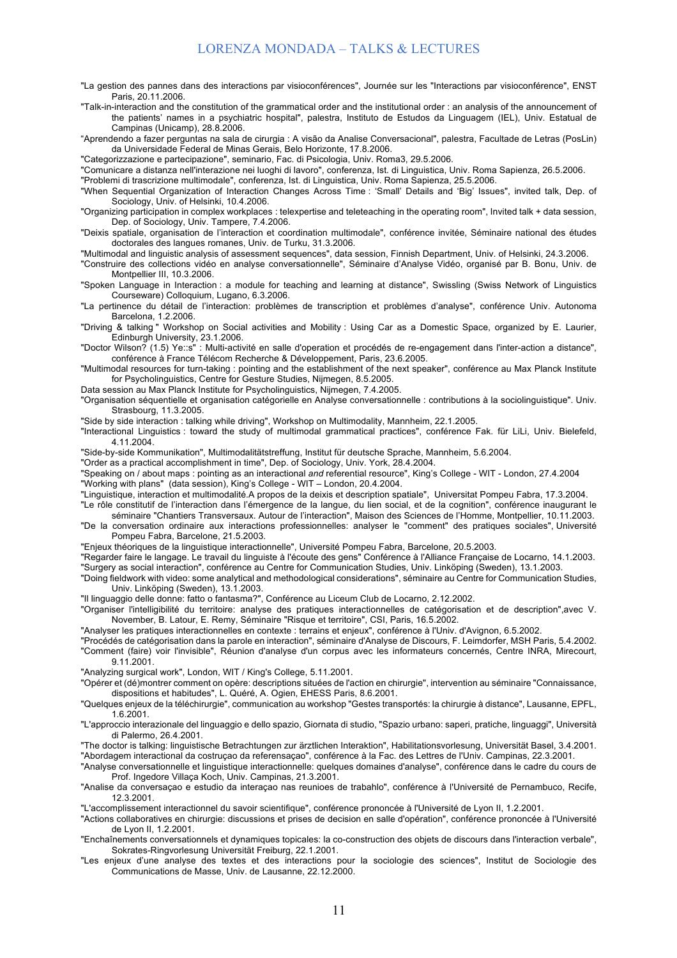- "La gestion des pannes dans des interactions par visioconférences", Journée sur les "Interactions par visioconférence", ENST Paris, 20.11.2006.
- "Talk-in-interaction and the constitution of the grammatical order and the institutional order : an analysis of the announcement of the patients' names in a psychiatric hospital", palestra, Instituto de Estudos da Linguagem (IEL), Univ. Estatual de Campinas (Unicamp), 28.8.2006.
- "Aprendendo a fazer perguntas na sala de cirurgia : A visão da Analise Conversacional", palestra, Facultade de Letras (PosLin) da Universidade Federal de Minas Gerais, Belo Horizonte, 17.8.2006.

"Categorizzazione e partecipazione", seminario, Fac. di Psicologia, Univ. Roma3, 29.5.2006.

"Comunicare a distanza nell'interazione nei luoghi di lavoro", conferenza, Ist. di Linguistica, Univ. Roma Sapienza, 26.5.2006.

"Problemi di trascrizione multimodale", conferenza, Ist. di Linguistica, Univ. Roma Sapienza, 25.5.2006.

"When Sequential Organization of Interaction Changes Across Time : 'Small' Details and 'Big' Issues", invited talk, Dep. of Sociology, Univ. of Helsinki, 10.4.2006.

"Organizing participation in complex workplaces : telexpertise and teleteaching in the operating room", Invited talk + data session, Dep. of Sociology, Univ. Tampere, 7.4.2006.

"Deixis spatiale, organisation de l'interaction et coordination multimodale", conférence invitée, Séminaire national des études doctorales des langues romanes, Univ. de Turku, 31.3.2006.

"Multimodal and linguistic analysis of assessment sequences", data session, Finnish Department, Univ. of Helsinki, 24.3.2006.

"Construire des collections vidéo en analyse conversationnelle", Séminaire d'Analyse Vidéo, organisé par B. Bonu, Univ. de Montpellier III, 10.3.2006.

"Spoken Language in Interaction : a module for teaching and learning at distance", Swissling (Swiss Network of Linguistics Courseware) Colloquium, Lugano, 6.3.2006.

"La pertinence du détail de l'interaction: problèmes de transcription et problèmes d'analyse", conférence Univ. Autonoma Barcelona, 1.2.2006.

"Driving & talking " Workshop on Social activities and Mobility : Using Car as a Domestic Space, organized by E. Laurier, Edinburgh University, 23.1.2006.

"Doctor Wilson? (1.5) Ye::s" : Multi-activité en salle d'operation et procédés de re-engagement dans l'inter-action a distance", conférence à France Télécom Recherche & Développement, Paris, 23.6.2005.

"Multimodal resources for turn-taking : pointing and the establishment of the next speaker", conférence au Max Planck Institute for Psycholinguistics, Centre for Gesture Studies, Nijmegen, 8.5.2005.

Data session au Max Planck Institute for Psycholinguistics, Nijmegen, 7.4.2005.

"Organisation séquentielle et organisation catégorielle en Analyse conversationnelle : contributions à la sociolinguistique". Univ. Strasbourg, 11.3.2005.

"Side by side interaction : talking while driving", Workshop on Multimodality, Mannheim, 22.1.2005.

"Interactional Linguistics : toward the study of multimodal grammatical practices", conférence Fak. für LiLi, Univ. Bielefeld, 4.11.2004.

"Side-by-side Kommunikation", Multimodalitätstreffung, Institut für deutsche Sprache, Mannheim, 5.6.2004.

"Order as a practical accomplishment in time", Dep. of Sociology, Univ. York, 28.4.2004.

"Speaking on / about maps : pointing as an interactional *and* referential resource", King's College - WIT - London, 27.4.2004

"Working with plans" (data session), King's College - WIT – London, 20.4.2004.

"Linguistique, interaction et multimodalité.A propos de la deixis et description spatiale", Universitat Pompeu Fabra, 17.3.2004.

"Le rôle constitutif de l'interaction dans l'émergence de la langue, du lien social, et de la cognition", conférence inaugurant le séminaire "Chantiers Transversaux. Autour de l'interaction", Maison des Sciences de l'Homme, Montpellier, 10.11.2003.

"De la conversation ordinaire aux interactions professionnelles: analyser le "comment" des pratiques sociales", Université Pompeu Fabra, Barcelone, 21.5.2003.

"Enjeux théoriques de la linguistique interactionnelle", Université Pompeu Fabra, Barcelone, 20.5.2003.

"Regarder faire le langage. Le travail du linguiste à l'écoute des gens" Conférence à l'Alliance Française de Locarno, 14.1.2003. "Surgery as social interaction", conférence au Centre for Communication Studies, Univ. Linköping (Sweden), 13.1.2003.

"Doing fieldwork with video: some analytical and methodological considerations", séminaire au Centre for Communication Studies, Univ. Linköping (Sweden), 13.1.2003.

"Il linguaggio delle donne: fatto o fantasma?", Conférence au Liceum Club de Locarno, 2.12.2002.

"Organiser l'intelligibilité du territoire: analyse des pratiques interactionnelles de catégorisation et de description",avec V. November, B. Latour, E. Remy, Séminaire "Risque et territoire", CSI, Paris, 16.5.2002.

"Analyser les pratiques interactionnelles en contexte : terrains et enjeux", conférence à l'Univ. d'Avignon, 6.5.2002.

"Procédés de catégorisation dans la parole en interaction", séminaire d'Analyse de Discours, F. Leimdorfer, MSH Paris, 5.4.2002.

"Comment (faire) voir l'invisible", Réunion d'analyse d'un corpus avec les informateurs concernés, Centre INRA, Mirecourt, 9.11.2001.

"Analyzing surgical work", London, WIT / King's College, 5.11.2001.

"Opérer et (dé)montrer comment on opère: descriptions situées de l'action en chirurgie", intervention au séminaire "Connaissance, dispositions et habitudes", L. Quéré, A. Ogien, EHESS Paris, 8.6.2001.

"Quelques enjeux de la téléchirurgie", communication au workshop "Gestes transportés: la chirurgie à distance", Lausanne, EPFL, 1.6.2001.

"L'approccio interazionale del linguaggio e dello spazio, Giornata di studio, "Spazio urbano: saperi, pratiche, linguaggi", Università di Palermo, 26.4.2001.

"The doctor is talking: linguistische Betrachtungen zur ärztlichen Interaktion", Habilitationsvorlesung, Universität Basel, 3.4.2001. "Abordagem interactional da costruçao da referensaçao", conférence à la Fac. des Lettres de l'Univ. Campinas, 22.3.2001.

"Analyse conversationnelle et linguistique interactionnelle: quelques domaines d'analyse", conférence dans le cadre du cours de Prof. Ingedore Villaça Koch, Univ. Campinas, 21.3.2001.

"Analise da conversaçao e estudio da interaçao nas reunioes de trabahlo", conférence à l'Université de Pernambuco, Recife, 12.3.2001.

"L'accomplissement interactionnel du savoir scientifique", conférence prononcée à l'Université de Lyon II, 1.2.2001.

"Actions collaboratives en chirurgie: discussions et prises de decision en salle d'opération", conférence prononcée à l'Université de Lyon II, 1.2.2001.

"Enchaînements conversationnels et dynamiques topicales: la co-construction des objets de discours dans l'interaction verbale", Sokrates-Ringvorlesung Universität Freiburg, 22.1.2001.

"Les enjeux d'une analyse des textes et des interactions pour la sociologie des sciences", Institut de Sociologie des Communications de Masse, Univ. de Lausanne, 22.12.2000.